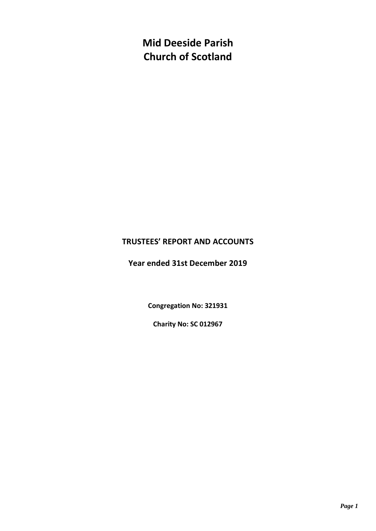**Mid Deeside Parish Church of Scotland**

### **TRUSTEES' REPORT AND ACCOUNTS**

**Year ended 31st December 2019**

**Congregation No: 321931**

**Charity No: SC 012967**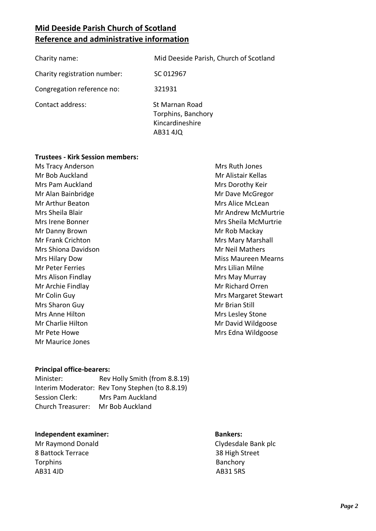### **Mid Deeside Parish Church of Scotland Reference and administrative information**

| Charity name:                | Mid Deeside Parish, Church of Scotland                              |
|------------------------------|---------------------------------------------------------------------|
| Charity registration number: | SC 012967                                                           |
| Congregation reference no:   | 321931                                                              |
| Contact address:             | St Marnan Road<br>Torphins, Banchory<br>Kincardineshire<br>AB31 4JQ |

#### **Trustees - Kirk Session members:**

Ms Tracy Anderson Mr Bob Auckland Mrs Pam Auckland Mr Alan Bainbridge Mr Arthur Beaton Mrs Sheila Blair Mrs Irene Bonner Mr Danny Brown Mr Frank Crichton Mrs Shiona Davidson Mrs Hilary Dow Mr Peter Ferries Mrs Alison Findlay Mr Archie Findlay Mr Colin Guy Mrs Sharon Guy Mrs Anne Hilton Mr Charlie Hilton Mr Pete Howe Mr Maurice Jones

Mrs Ruth Jones Mr Alistair Kellas Mrs Dorothy Keir Mr Dave McGregor Mrs Alice McLean Mr Andrew McMurtrie Mrs Sheila McMurtrie Mr Rob Mackay Mrs Mary Marshall Mr Neil Mathers Miss Maureen Mearns Mrs Lilian Milne Mrs May Murray Mr Richard Orren Mrs Margaret Stewart Mr Brian Still Mrs Lesley Stone Mr David Wildgoose Mrs Edna Wildgoose

#### **Principal office-bearers:**

Minister: Rev Holly Smith (from 8.8.19) Interim Moderator: Rev Tony Stephen (to 8.8.19) Session Clerk: Mrs Pam Auckland Church Treasurer: Mr Bob Auckland

#### **Independent examiner: Bankers:**

Mr Raymond Donald **Clydesdale Bank plc** 8 Battock Terrace 38 High Street Torphins **Banchory** AB31 4JD AB31 5RS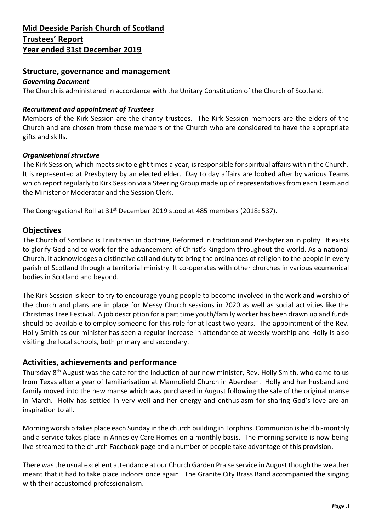#### **Structure, governance and management**

#### *Governing Document*

The Church is administered in accordance with the Unitary Constitution of the Church of Scotland.

#### *Recruitment and appointment of Trustees*

Members of the Kirk Session are the charity trustees. The Kirk Session members are the elders of the Church and are chosen from those members of the Church who are considered to have the appropriate gifts and skills.

#### *Organisational structure*

The Kirk Session, which meets six to eight times a year, is responsible for spiritual affairs within the Church. It is represented at Presbytery by an elected elder. Day to day affairs are looked after by various Teams which report regularly to Kirk Session via a Steering Group made up of representatives from each Team and the Minister or Moderator and the Session Clerk.

The Congregational Roll at 31<sup>st</sup> December 2019 stood at 485 members (2018: 537).

#### **Objectives**

The Church of Scotland is Trinitarian in doctrine, Reformed in tradition and Presbyterian in polity. It exists to glorify God and to work for the advancement of Christ's Kingdom throughout the world. As a national Church, it acknowledges a distinctive call and duty to bring the ordinances of religion to the people in every parish of Scotland through a territorial ministry. It co-operates with other churches in various ecumenical bodies in Scotland and beyond.

The Kirk Session is keen to try to encourage young people to become involved in the work and worship of the church and plans are in place for Messy Church sessions in 2020 as well as social activities like the Christmas Tree Festival. A job description for a part time youth/family worker has been drawn up and funds should be available to employ someone for this role for at least two years. The appointment of the Rev. Holly Smith as our minister has seen a regular increase in attendance at weekly worship and Holly is also visiting the local schools, both primary and secondary.

### **Activities, achievements and performance**

Thursday 8<sup>th</sup> August was the date for the induction of our new minister, Rev. Holly Smith, who came to us from Texas after a year of familiarisation at Mannofield Church in Aberdeen. Holly and her husband and family moved into the new manse which was purchased in August following the sale of the original manse in March. Holly has settled in very well and her energy and enthusiasm for sharing God's love are an inspiration to all.

Morning worship takes place each Sunday in the church building in Torphins. Communion is held bi-monthly and a service takes place in Annesley Care Homes on a monthly basis. The morning service is now being live-streamed to the church Facebook page and a number of people take advantage of this provision.

There was the usual excellent attendance at our Church Garden Praise service in August though the weather meant that it had to take place indoors once again. The Granite City Brass Band accompanied the singing with their accustomed professionalism.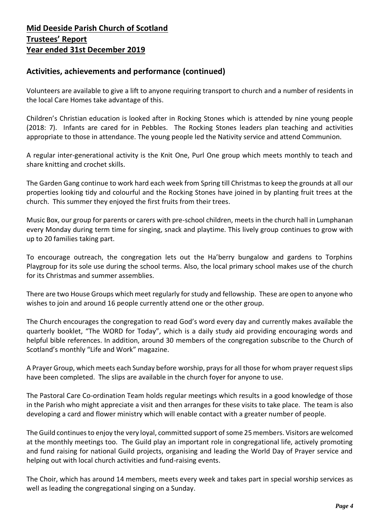### **Activities, achievements and performance (continued)**

Volunteers are available to give a lift to anyone requiring transport to church and a number of residents in the local Care Homes take advantage of this.

Children's Christian education is looked after in Rocking Stones which is attended by nine young people (2018: 7). Infants are cared for in Pebbles. The Rocking Stones leaders plan teaching and activities appropriate to those in attendance. The young people led the Nativity service and attend Communion.

A regular inter-generational activity is the Knit One, Purl One group which meets monthly to teach and share knitting and crochet skills.

The Garden Gang continue to work hard each week from Spring till Christmas to keep the grounds at all our properties looking tidy and colourful and the Rocking Stones have joined in by planting fruit trees at the church. This summer they enjoyed the first fruits from their trees.

Music Box, our group for parents or carers with pre-school children, meets in the church hall in Lumphanan every Monday during term time for singing, snack and playtime. This lively group continues to grow with up to 20 families taking part.

To encourage outreach, the congregation lets out the Ha'berry bungalow and gardens to Torphins Playgroup for its sole use during the school terms. Also, the local primary school makes use of the church for its Christmas and summer assemblies.

There are two House Groups which meet regularly for study and fellowship. These are open to anyone who wishes to join and around 16 people currently attend one or the other group.

The Church encourages the congregation to read God's word every day and currently makes available the quarterly booklet, "The WORD for Today", which is a daily study aid providing encouraging words and helpful bible references. In addition, around 30 members of the congregation subscribe to the Church of Scotland's monthly "Life and Work" magazine.

A Prayer Group, which meets each Sunday before worship, prays for all those for whom prayer request slips have been completed. The slips are available in the church foyer for anyone to use.

The Pastoral Care Co-ordination Team holds regular meetings which results in a good knowledge of those in the Parish who might appreciate a visit and then arranges for these visits to take place. The team is also developing a card and flower ministry which will enable contact with a greater number of people.

The Guild continues to enjoy the very loyal, committed support of some 25members. Visitors are welcomed at the monthly meetings too. The Guild play an important role in congregational life, actively promoting and fund raising for national Guild projects, organising and leading the World Day of Prayer service and helping out with local church activities and fund-raising events.

The Choir, which has around 14 members, meets every week and takes part in special worship services as well as leading the congregational singing on a Sunday.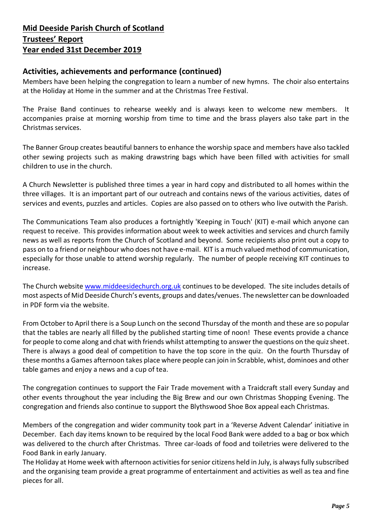### **Activities, achievements and performance (continued)**

Members have been helping the congregation to learn a number of new hymns. The choir also entertains at the Holiday at Home in the summer and at the Christmas Tree Festival.

The Praise Band continues to rehearse weekly and is always keen to welcome new members. It accompanies praise at morning worship from time to time and the brass players also take part in the Christmas services.

The Banner Group creates beautiful banners to enhance the worship space and members have also tackled other sewing projects such as making drawstring bags which have been filled with activities for small children to use in the church.

A Church Newsletter is published three times a year in hard copy and distributed to all homes within the three villages. It is an important part of our outreach and contains news of the various activities, dates of services and events, puzzles and articles. Copies are also passed on to others who live outwith the Parish.

The Communications Team also produces a fortnightly 'Keeping in Touch' (KIT) e-mail which anyone can request to receive. This provides information about week to week activities and services and church family news as well as reports from the Church of Scotland and beyond. Some recipients also print out a copy to pass on to a friend or neighbour who does not have e-mail. KIT is a much valued method of communication, especially for those unable to attend worship regularly. The number of people receiving KIT continues to increase.

The Church website [www.middeesidechurch.org.uk](http://www.middeesidechurch.org.uk/) continues to be developed. The site includes details of most aspects of Mid Deeside Church's events, groups and dates/venues. The newsletter can be downloaded in PDF form via the website.

From October to April there is a Soup Lunch on the second Thursday of the month and these are so popular that the tables are nearly all filled by the published starting time of noon! These events provide a chance for people to come along and chat with friends whilst attempting to answer the questions on the quiz sheet. There is always a good deal of competition to have the top score in the quiz. On the fourth Thursday of these months a Games afternoon takes place where people can join in Scrabble, whist, dominoes and other table games and enjoy a news and a cup of tea.

The congregation continues to support the Fair Trade movement with a Traidcraft stall every Sunday and other events throughout the year including the Big Brew and our own Christmas Shopping Evening. The congregation and friends also continue to support the Blythswood Shoe Box appeal each Christmas.

Members of the congregation and wider community took part in a 'Reverse Advent Calendar' initiative in December. Each day items known to be required by the local Food Bank were added to a bag or box which was delivered to the church after Christmas. Three car-loads of food and toiletries were delivered to the Food Bank in early January.

The Holiday at Home week with afternoon activities for senior citizens held in July, is always fully subscribed and the organising team provide a great programme of entertainment and activities as well as tea and fine pieces for all.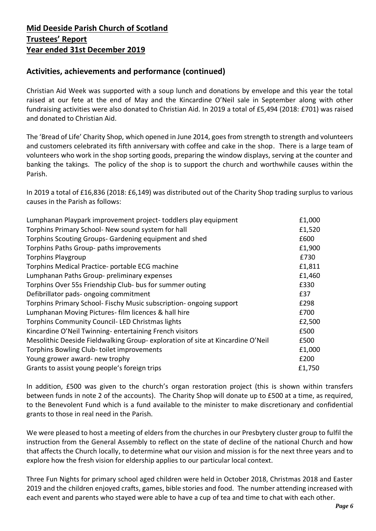### **Activities, achievements and performance (continued)**

Christian Aid Week was supported with a soup lunch and donations by envelope and this year the total raised at our fete at the end of May and the Kincardine O'Neil sale in September along with other fundraising activities were also donated to Christian Aid. In 2019 a total of £5,494 (2018: £701) was raised and donated to Christian Aid.

The 'Bread of Life' Charity Shop, which opened in June 2014, goes from strength to strength and volunteers and customers celebrated its fifth anniversary with coffee and cake in the shop. There is a large team of volunteers who work in the shop sorting goods, preparing the window displays, serving at the counter and banking the takings. The policy of the shop is to support the church and worthwhile causes within the Parish.

In 2019 a total of £16,836 (2018: £6,149) was distributed out of the Charity Shop trading surplus to various causes in the Parish as follows:

| Lumphanan Playpark improvement project-toddlers play equipment                 | £1,000 |
|--------------------------------------------------------------------------------|--------|
| Torphins Primary School- New sound system for hall                             | £1,520 |
| Torphins Scouting Groups- Gardening equipment and shed                         | £600   |
| Torphins Paths Group- paths improvements                                       | £1,900 |
| <b>Torphins Playgroup</b>                                                      | £730   |
| Torphins Medical Practice- portable ECG machine                                | £1,811 |
| Lumphanan Paths Group- preliminary expenses                                    | £1,460 |
| Torphins Over 55s Friendship Club- bus for summer outing                       | £330   |
| Defibrillator pads- ongoing commitment                                         | £37    |
| Torphins Primary School- Fischy Music subscription- ongoing support            | £298   |
| Lumphanan Moving Pictures- film licences & hall hire                           | £700   |
| Torphins Community Council-LED Christmas lights                                | £2,500 |
| Kincardine O'Neil Twinning-entertaining French visitors                        | £500   |
| Mesolithic Deeside Fieldwalking Group-exploration of site at Kincardine O'Neil | £500   |
| Torphins Bowling Club-toilet improvements                                      | £1,000 |
| Young grower award- new trophy                                                 | £200   |
| Grants to assist young people's foreign trips                                  | £1,750 |
|                                                                                |        |

In addition, £500 was given to the church's organ restoration project (this is shown within transfers between funds in note 2 of the accounts). The Charity Shop will donate up to £500 at a time, as required, to the Benevolent Fund which is a fund available to the minister to make discretionary and confidential grants to those in real need in the Parish.

We were pleased to host a meeting of elders from the churches in our Presbytery cluster group to fulfil the instruction from the General Assembly to reflect on the state of decline of the national Church and how that affects the Church locally, to determine what our vision and mission is for the next three years and to explore how the fresh vision for eldership applies to our particular local context.

Three Fun Nights for primary school aged children were held in October 2018, Christmas 2018 and Easter 2019 and the children enjoyed crafts, games, bible stories and food. The number attending increased with each event and parents who stayed were able to have a cup of tea and time to chat with each other.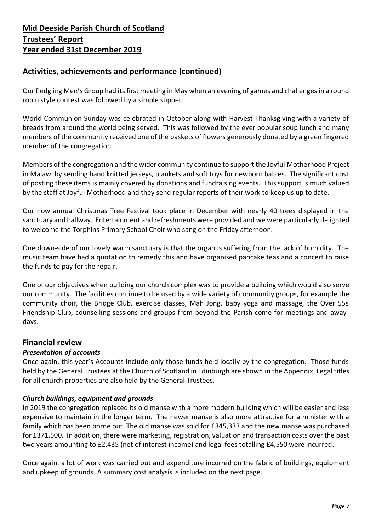### **Activities, achievements and performance (continued)**

Our fledgling Men's Group had its first meeting in May when an evening of games and challenges in a round robin style contest was followed by a simple supper.

World Communion Sunday was celebrated in October along with Harvest Thanksgiving with a variety of breads from around the world being served. This was followed by the ever popular soup lunch and many members of the community received one of the baskets of flowers generously donated by a green fingered member of the congregation.

Members of the congregation and the wider community continue to support the Joyful Motherhood Project in Malawi by sending hand knitted jerseys, blankets and soft toys for newborn babies. The significant cost of posting these items is mainly covered by donations and fundraising events. This support is much valued by the staff at Joyful Motherhood and they send regular reports of their work to keep us up to date.

Our now annual Christmas Tree Festival took place in December with nearly 40 trees displayed in the sanctuary and hallway. Entertainment and refreshments were provided and we were particularly delighted to welcome the Torphins Primary School Choir who sang on the Friday afternoon.

One down-side of our lovely warm sanctuary is that the organ is suffering from the lack of humidity. The music team have had a quotation to remedy this and have organised pancake teas and a concert to raise the funds to pay for the repair.

One of our objectives when building our church complex was to provide a building which would also serve our community. The facilities continue to be used by a wide variety of community groups, for example the community choir, the Bridge Club, exercise classes, Mah Jong, baby yoga and massage, the Over 55s Friendship Club, counselling sessions and groups from beyond the Parish come for meetings and awaydays.

### **Financial review**

#### *Presentation of accounts*

Once again, this year's Accounts include only those funds held locally by the congregation. Those funds held by the General Trustees at the Church of Scotland in Edinburgh are shown in the Appendix. Legal titles for all church properties are also held by the General Trustees.

#### *Church buildings, equipment and grounds*

In 2019 the congregation replaced its old manse with a more modern building which will be easier and less expensive to maintain in the longer term. The newer manse is also more attractive for a minister with a family which has been borne out. The old manse was sold for £345,333 and the new manse was purchased for £371,500. In addition, there were marketing, registration, valuation and transaction costs over the past two years amounting to £2,435 (net of interest income) and legal fees totalling £4,550 were incurred.

Once again, a lot of work was carried out and expenditure incurred on the fabric of buildings, equipment and upkeep of grounds. A summary cost analysis is included on the next page.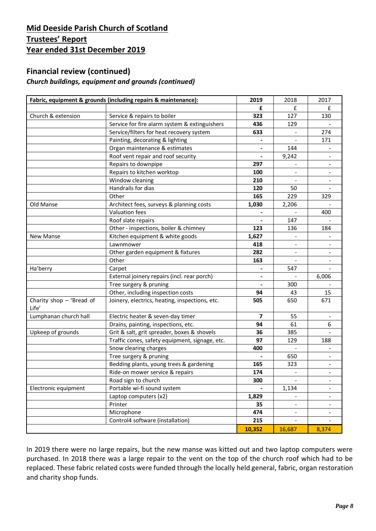### **Financial review (continued)**

### *Church buildings, equipment and grounds (continued)*

|                                     | Fabric, equipment & grounds (including repairs & maintenance): | 2019           | 2018   | 2017  |
|-------------------------------------|----------------------------------------------------------------|----------------|--------|-------|
|                                     |                                                                | £              | £      | £     |
| Church & extension                  | Service & repairs to boiler                                    | 323            | 127    | 130   |
|                                     | Service for fire alarm system & extinguishers                  | 436            | 129    |       |
|                                     | Service/filters for heat recovery system                       | 633            |        | 274   |
|                                     | Painting, decorating & lighting                                |                |        | 171   |
|                                     | Organ maintenance & estimates                                  |                | 144    |       |
|                                     | Roof vent repair and roof security                             |                | 9,242  |       |
|                                     | Repairs to downpipe                                            | 297            |        |       |
|                                     | Repairs to kitchen worktop                                     | 100            |        |       |
|                                     | Window cleaning                                                | 210            |        |       |
|                                     | Handrails for dias                                             | 120            | 50     |       |
|                                     | Other                                                          | 165            | 229    | 329   |
| Old Manse                           | Architect fees, surveys & planning costs                       | 1,030          | 2,206  |       |
|                                     | Valuation fees                                                 |                |        | 400   |
|                                     | Roof slate repairs                                             |                | 147    |       |
|                                     | Other - inspections, boiler & chimney                          | 123            | 136    | 184   |
| <b>New Manse</b>                    | Kitchen equipment & white goods                                | 1,627          |        |       |
|                                     | Lawnmower                                                      | 418            |        |       |
|                                     | Other garden equipment & fixtures                              | 282            |        |       |
|                                     | Other                                                          | 163            |        |       |
| Ha'berry                            | Carpet                                                         |                | 547    |       |
|                                     | External joinery repairs (incl. rear porch)                    |                |        | 6,006 |
|                                     | Tree surgery & pruning                                         |                | 300    |       |
|                                     | Other, including inspection costs                              | 94             | 43     | 15    |
| Charity shop $-$ 'Bread of<br>Life' | Joinery, electrics, heating, inspections, etc.                 | 505            | 650    | 671   |
| Lumphanan church hall               | Electric heater & seven-day timer                              | $\overline{7}$ | 55     |       |
|                                     | Drains, painting, inspections, etc.                            | 94             | 61     | 6     |
| Upkeep of grounds                   | Grit & salt, grit spreader, boxes & shovels                    | 36             | 385    |       |
|                                     | Traffic cones, safety equipment, signage, etc.                 | 97             | 129    | 188   |
|                                     | Snow clearing charges                                          | 400            |        |       |
|                                     | Tree surgery & pruning                                         |                | 650    |       |
|                                     | Bedding plants, young trees & gardening                        | 165            | 323    |       |
|                                     | Ride-on mower service & repairs                                | 174            |        |       |
|                                     | Road sign to church                                            | 300            |        |       |
| Electronic equipment                | Portable wi-fi sound system                                    |                | 1,134  |       |
|                                     | Laptop computers (x2)                                          | 1,829          |        |       |
|                                     | Printer                                                        | 35             |        |       |
|                                     | Microphone                                                     | 474            |        |       |
|                                     | Control4 software (installation)                               | 215            |        |       |
|                                     |                                                                | 10,352         | 16,687 | 8,374 |

In 2019 there were no large repairs, but the new manse was kitted out and two laptop computers were purchased. In 2018 there was a large repair to the vent on the top of the church roof which had to be replaced. These fabric related costs were funded through the locally held general, fabric, organ restoration and charity shop funds.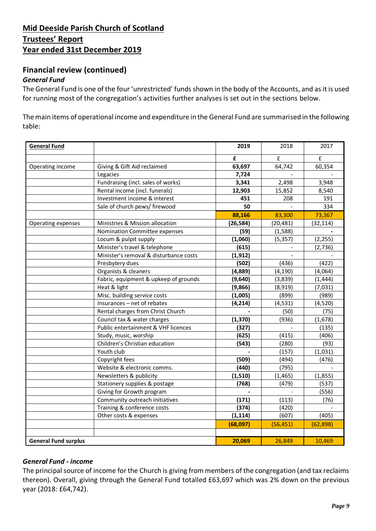### **Financial review (continued)**

#### *General Fund*

The General Fund is one of the four 'unrestricted' funds shown in the body of the Accounts, and as it is used for running most of the congregation's activities further analyses is set out in the sections below.

The main items of operational income and expenditure in the General Fund are summarised in the following table:

| <b>General Fund</b>         |                                        | 2019      | 2018      | 2017        |
|-----------------------------|----------------------------------------|-----------|-----------|-------------|
|                             |                                        | £         | £         | $\mathbf f$ |
| Operating income            | Giving & Gift Aid reclaimed            | 63,697    | 64,742    | 60,354      |
|                             | Legacies                               | 7,724     |           |             |
|                             | Fundraising (incl. sales of works)     | 3,341     | 2,498     | 3,948       |
|                             | Rental income (incl. funerals)         | 12,903    | 15,852    | 8,540       |
|                             | Investment income & interest           | 451       | 208       | 191         |
|                             | Sale of church pews/ firewood          | 50        |           | 334         |
|                             |                                        | 88,166    | 83,300    | 73,367      |
| Operating expenses          | Ministries & Mission allocation        | (26, 584) | (20, 481) | (32, 114)   |
|                             | Nomination Committee expenses          | (59)      | (1,588)   |             |
|                             | Locum & pulpit supply                  | (1,060)   | (5, 357)  | (2, 255)    |
|                             | Minister's travel & telephone          | (615)     |           | (2,736)     |
|                             | Minister's removal & disturbance costs | (1, 912)  |           |             |
|                             | Presbytery dues                        | (502)     | (436)     | (422)       |
|                             | Organists & cleaners                   | (4,889)   | (4, 190)  | (4,064)     |
|                             | Fabric, equipment & upkeep of grounds  | (9,640)   | (3,839)   | (1, 444)    |
|                             | Heat & light                           | (9,866)   | (8,919)   | (7,031)     |
|                             | Misc. building service costs           | (1,005)   | (899)     | (989)       |
|                             | Insurances - net of rebates            | (4, 214)  | (4, 531)  | (4,520)     |
|                             | Rental charges from Christ Church      |           | (50)      | (75)        |
|                             | Council tax & water charges            | (1, 370)  | (936)     | (1,678)     |
|                             | Public entertainment & VHF licences    | (327)     |           | (135)       |
|                             | Study, music, worship                  | (625)     | (415)     | (406)       |
|                             | Children's Christian education         | (543)     | (280)     | (93)        |
|                             | Youth club                             |           | (157)     | (1,031)     |
|                             | Copyright fees                         | (509)     | (494)     | (476)       |
|                             | Website & electronic comms.            | (440)     | (795)     |             |
|                             | Newsletters & publicity                | (1, 510)  | (1, 465)  | (1, 855)    |
|                             | Stationery supplies & postage          | (768)     | (479)     | (537)       |
|                             | Giving for Growth program              |           |           | (556)       |
|                             | Community outreach initiatives         | (171)     | (113)     | (76)        |
|                             | Training & conference costs            | (374)     | (420)     |             |
|                             | Other costs & expenses                 | (1, 114)  | (607)     | (405)       |
|                             |                                        | (68,097)  | (56, 451) | (62, 898)   |
|                             |                                        |           |           |             |
| <b>General Fund surplus</b> |                                        | 20,069    | 26,849    | 10,469      |

#### *General Fund - income*

The principal source of income for the Church is giving from members of the congregation (and tax reclaims thereon). Overall, giving through the General Fund totalled £63,697 which was 2% down on the previous year (2018: £64,742).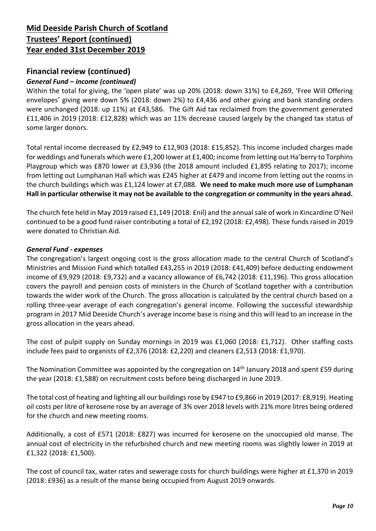### **Financial review (continued)**

#### *General Fund – income (continued)*

Within the total for giving, the 'open plate' was up 20% (2018: down 31%) to £4,269, 'Free Will Offering envelopes' giving were down 5% (2018: down 2%) to £4,436 and other giving and bank standing orders were unchanged (2018: up 11%) at £43,586. The Gift Aid tax reclaimed from the government generated £11,406 in 2019 (2018: £12,828) which was an 11% decrease caused largely by the changed tax status of some larger donors.

Total rental income decreased by £2,949 to £12,903 (2018: £15,852). This income included charges made for weddings and funerals which were £1,200 lower at £1,400; income from letting out Ha'berry to Torphins Playgroup which was £870 lower at £3,936 (the 2018 amount included £1,895 relating to 2017); income from letting out Lumphanan Hall which was £245 higher at £479 and income from letting out the rooms in the church buildings which was £1,124 lower at £7,088. **We need to make much more use of Lumphanan Hall in particular otherwise it may not be available to the congregation or community in the years ahead.**

The church fete held in May 2019 raised £1,149 (2018: £nil) and the annualsale of work in Kincardine O'Neil continued to be a good fund raiser contributing a total of £2,192 (2018: £2,498). These funds raised in 2019 were donated to Christian Aid.

#### *General Fund - expenses*

The congregation's largest ongoing cost is the gross allocation made to the central Church of Scotland's Ministries and Mission Fund which totalled £43,255 in 2019 (2018: £41,409) before deducting endowment income of £9,929 (2018: £9,732) and a vacancy allowance of £6,742 (2018: £11,196). This gross allocation covers the payroll and pension costs of ministers in the Church of Scotland together with a contribution towards the wider work of the Church. The gross allocation is calculated by the central church based on a rolling three-year average of each congregation's general income. Following the successful stewardship program in 2017 Mid Deeside Church's average income base is rising and this will lead to an increase in the gross allocation in the years ahead.

The cost of pulpit supply on Sunday mornings in 2019 was £1,060 (2018: £1,712). Other staffing costs include fees paid to organists of £2,376 (2018: £2,220) and cleaners £2,513 (2018: £1,970).

The Nomination Committee was appointed by the congregation on  $14<sup>th</sup>$  January 2018 and spent £59 during the year (2018: £1,588) on recruitment costs before being discharged in June 2019.

The total cost of heating and lighting all our buildings rose by £947 to £9,866 in 2019 (2017: £8,919). Heating oil costs per litre of kerosene rose by an average of 3% over 2018 levels with 21% more litres being ordered for the church and new meeting rooms.

Additionally, a cost of £571 (2018: £827) was incurred for kerosene on the unoccupied old manse. The annual cost of electricity in the refurbished church and new meeting rooms was slightly lower in 2019 at £1,322 (2018: £1,500).

The cost of council tax, water rates and sewerage costs for church buildings were higher at £1,370 in 2019 (2018: £936) as a result of the manse being occupied from August 2019 onwards.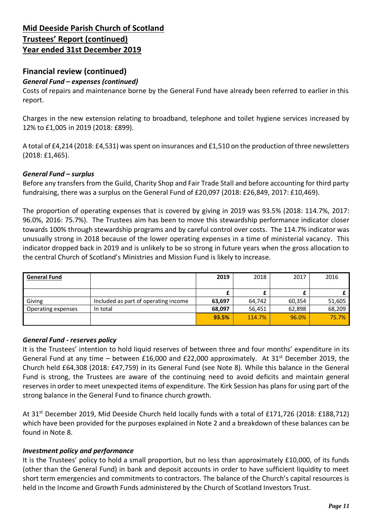### **Financial review (continued)**

#### *General Fund – expenses (continued)*

Costs of repairs and maintenance borne by the General Fund have already been referred to earlier in this report.

Charges in the new extension relating to broadband, telephone and toilet hygiene services increased by 12% to £1,005 in 2019 (2018: £899).

A total of £4,214 (2018: £4,531) was spent on insurances and £1,510 on the production of three newsletters (2018: £1,465).

#### *General Fund – surplus*

Before any transfers from the Guild, Charity Shop and Fair Trade Stall and before accounting for third party fundraising, there was a surplus on the General Fund of £20,097 (2018: £26,849, 2017: £10,469).

The proportion of operating expenses that is covered by giving in 2019 was 93.5% (2018: 114.7%, 2017: 96.0%, 2016: 75.7%). The Trustees aim has been to move this stewardship performance indicator closer towards 100% through stewardship programs and by careful control over costs. The 114.7% indicator was unusually strong in 2018 because of the lower operating expenses in a time of ministerial vacancy. This indicator dropped back in 2019 and is unlikely to be so strong in future years when the gross allocation to the central Church of Scotland's Ministries and Mission Fund is likely to increase.

| <b>General Fund</b> |                                      | 2019   | 2018   | 2017   | 2016   |
|---------------------|--------------------------------------|--------|--------|--------|--------|
|                     |                                      |        |        |        |        |
|                     |                                      |        |        |        |        |
| Giving              | Included as part of operating income | 63.697 | 64.742 | 60.354 | 51,605 |
| Operating expenses  | In total                             | 68,097 | 56,451 | 62,898 | 68,209 |
|                     |                                      | 93.5%  | 114.7% | 96.0%  | 75.7%  |

#### *General Fund - reserves policy*

It is the Trustees' intention to hold liquid reserves of between three and four months' expenditure in its General Fund at any time – between £16,000 and £22,000 approximately. At  $31<sup>st</sup>$  December 2019, the Church held £64,308 (2018: £47,759) in its General Fund (see Note 8). While this balance in the General Fund is strong, the Trustees are aware of the continuing need to avoid deficits and maintain general reserves in order to meet unexpected items of expenditure. The Kirk Session has plans for using part of the strong balance in the General Fund to finance church growth.

At 31st December 2019, Mid Deeside Church held locally funds with a total of £171,726 (2018: £188,712) which have been provided for the purposes explained in Note 2 and a breakdown of these balances can be found in Note 8.

#### *Investment policy and performance*

It is the Trustees' policy to hold a small proportion, but no less than approximately £10,000, of its funds (other than the General Fund) in bank and deposit accounts in order to have sufficient liquidity to meet short term emergencies and commitments to contractors. The balance of the Church's capital resources is held in the Income and Growth Funds administered by the Church of Scotland Investors Trust.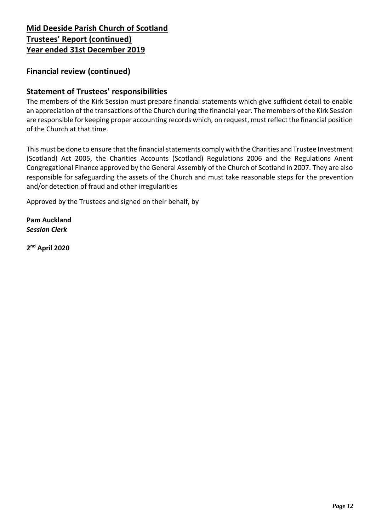### **Financial review (continued)**

### **Statement of Trustees' responsibilities**

The members of the Kirk Session must prepare financial statements which give sufficient detail to enable an appreciation of the transactions of the Church during the financial year. The members of the Kirk Session are responsible for keeping proper accounting records which, on request, must reflect the financial position of the Church at that time.

This must be done to ensure that the financial statements comply with the Charities and Trustee Investment (Scotland) Act 2005, the Charities Accounts (Scotland) Regulations 2006 and the Regulations Anent Congregational Finance approved by the General Assembly of the Church of Scotland in 2007. They are also responsible for safeguarding the assets of the Church and must take reasonable steps for the prevention and/or detection of fraud and other irregularities

Approved by the Trustees and signed on their behalf, by

**Pam Auckland** *Session Clerk*

**2 nd April 2020**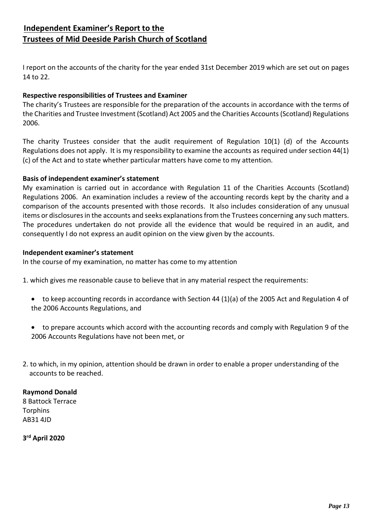### **Independent Examiner's Report to the Trustees of Mid Deeside Parish Church of Scotland**

I report on the accounts of the charity for the year ended 31st December 2019 which are set out on pages 14 to 22.

#### **Respective responsibilities of Trustees and Examiner**

The charity's Trustees are responsible for the preparation of the accounts in accordance with the terms of the Charities and Trustee Investment (Scotland) Act 2005 and the Charities Accounts (Scotland) Regulations 2006.

The charity Trustees consider that the audit requirement of Regulation 10(1) (d) of the Accounts Regulations does not apply. It is my responsibility to examine the accounts as required under section 44(1) (c) of the Act and to state whether particular matters have come to my attention.

#### **Basis of independent examiner's statement**

My examination is carried out in accordance with Regulation 11 of the Charities Accounts (Scotland) Regulations 2006. An examination includes a review of the accounting records kept by the charity and a comparison of the accounts presented with those records. It also includes consideration of any unusual items or disclosures in the accounts and seeks explanations from the Trustees concerning any such matters. The procedures undertaken do not provide all the evidence that would be required in an audit, and consequently I do not express an audit opinion on the view given by the accounts.

#### **Independent examiner's statement**

In the course of my examination, no matter has come to my attention

- 1. which gives me reasonable cause to believe that in any material respect the requirements:
	- to keep accounting records in accordance with Section 44 (1)(a) of the 2005 Act and Regulation 4 of the 2006 Accounts Regulations, and
	- to prepare accounts which accord with the accounting records and comply with Regulation 9 of the 2006 Accounts Regulations have not been met, or
- 2. to which, in my opinion, attention should be drawn in order to enable a proper understanding of the accounts to be reached.

#### **Raymond Donald**

8 Battock Terrace **Torphins** AB31 4JD

**3 rd April 2020**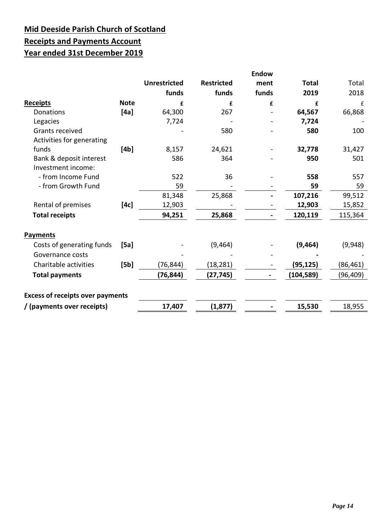# **Mid Deeside Parish Church of Scotland Receipts and Payments Account Year ended 31st December 2019**

|                                         |             | <b>Unrestricted</b><br>funds | <b>Restricted</b><br>funds | <b>Endow</b><br>ment<br>funds | <b>Total</b><br>2019 | Total<br>2018 |
|-----------------------------------------|-------------|------------------------------|----------------------------|-------------------------------|----------------------|---------------|
| <b>Receipts</b>                         | <b>Note</b> | £                            | £                          | £                             | £                    | £             |
| Donations                               | [4a]        | 64,300                       | 267                        |                               | 64,567               | 66,868        |
| Legacies                                |             | 7,724                        |                            |                               | 7,724                |               |
| Grants received                         |             |                              | 580                        |                               | 580                  | 100           |
| Activities for generating               |             |                              |                            |                               |                      |               |
| funds                                   | [4b]        | 8,157                        | 24,621                     |                               | 32,778               | 31,427        |
| Bank & deposit interest                 |             | 586                          | 364                        |                               | 950                  | 501           |
| Investment income:                      |             |                              |                            |                               |                      |               |
| - from Income Fund                      |             | 522                          | 36                         |                               | 558                  | 557           |
| - from Growth Fund                      |             | 59                           |                            |                               | 59                   | 59            |
|                                         |             | 81,348                       | 25,868                     |                               | 107,216              | 99,512        |
| Rental of premises                      | [4c]        | 12,903                       |                            |                               | 12,903               | 15,852        |
| <b>Total receipts</b>                   |             | 94,251                       | 25,868                     |                               | 120,119              | 115,364       |
| <b>Payments</b>                         |             |                              |                            |                               |                      |               |
| Costs of generating funds               | [5a]        |                              | (9, 464)                   |                               | (9, 464)             | (9,948)       |
| Governance costs                        |             |                              |                            |                               |                      |               |
| Charitable activities                   | [5b]        | (76, 844)                    | (18, 281)                  |                               | (95,125)             | (86, 461)     |
| <b>Total payments</b>                   |             | (76, 844)                    | (27, 745)                  |                               | (104, 589)           | (96, 409)     |
| <b>Excess of receipts over payments</b> |             |                              |                            |                               |                      |               |
| / (payments over receipts)              |             | 17,407                       | (1, 877)                   |                               | 15,530               | 18,955        |
|                                         |             |                              |                            |                               |                      |               |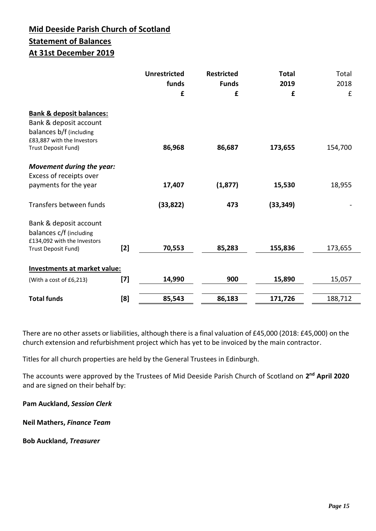## **Mid Deeside Parish Church of Scotland Statement of Balances At 31st December 2019**

|                                                                                                                                               |                                                                                                                                                                                                            | <b>Unrestricted</b><br>funds<br>£ | <b>Restricted</b><br><b>Funds</b><br>£ | <b>Total</b><br>2019<br>£ | Total<br>2018<br>£ |
|-----------------------------------------------------------------------------------------------------------------------------------------------|------------------------------------------------------------------------------------------------------------------------------------------------------------------------------------------------------------|-----------------------------------|----------------------------------------|---------------------------|--------------------|
| <b>Bank &amp; deposit balances:</b><br>Bank & deposit account<br>balances b/f (including<br>£83,887 with the Investors<br>Trust Deposit Fund) |                                                                                                                                                                                                            | 86,968                            | 86,687                                 | 173,655                   | 154,700            |
| <b>Movement during the year:</b><br>Excess of receipts over<br>payments for the year                                                          |                                                                                                                                                                                                            | 17,407                            | (1, 877)                               | 15,530                    | 18,955             |
| Transfers between funds                                                                                                                       |                                                                                                                                                                                                            | (33, 822)                         | 473                                    | (33, 349)                 |                    |
| Bank & deposit account<br>balances c/f (including<br>£134,092 with the Investors<br>Trust Deposit Fund)                                       | $[2]$                                                                                                                                                                                                      | 70,553                            | 85,283                                 | 155,836                   | 173,655            |
| Investments at market value:                                                                                                                  |                                                                                                                                                                                                            |                                   |                                        |                           |                    |
| (With a cost of £6,213)                                                                                                                       | $[7] % \includegraphics[width=0.9\columnwidth]{figures/fig_10.pdf} \caption{The 3D (black) model for the estimators in the left and right. The left and right is the same as in the right.} \label{fig:2}$ | 14,990                            | 900                                    | 15,890                    | 15,057             |
| <b>Total funds</b>                                                                                                                            | [8]                                                                                                                                                                                                        | 85,543                            | 86,183                                 | 171,726                   | 188,712            |

There are no other assets or liabilities, although there is a final valuation of £45,000 (2018: £45,000) on the church extension and refurbishment project which has yet to be invoiced by the main contractor.

Titles for all church properties are held by the General Trustees in Edinburgh.

The accounts were approved by the Trustees of Mid Deeside Parish Church of Scotland on **2 nd April 2020** and are signed on their behalf by:

**Pam Auckland,** *Session Clerk*

**Neil Mathers,** *Finance Team*

**Bob Auckland,** *Treasurer*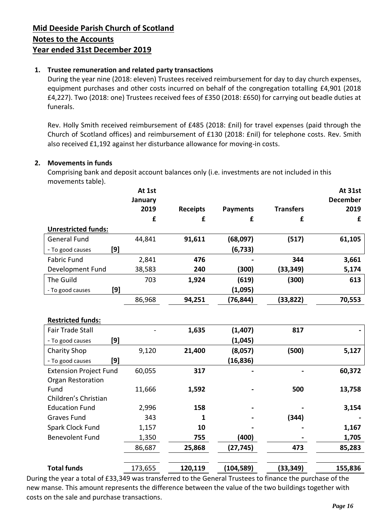#### **1. Trustee remuneration and related party transactions**

During the year nine (2018: eleven) Trustees received reimbursement for day to day church expenses, equipment purchases and other costs incurred on behalf of the congregation totalling £4,901 (2018 £4,227). Two (2018: one) Trustees received fees of £350 (2018: £650) for carrying out beadle duties at funerals.

Rev. Holly Smith received reimbursement of £485 (2018: £nil) for travel expenses (paid through the Church of Scotland offices) and reimbursement of £130 (2018: £nil) for telephone costs. Rev. Smith also received £1,192 against her disturbance allowance for moving-in costs.

#### **2. Movements in funds**

Comprising bank and deposit account balances only (i.e. investments are not included in this movements table).

|                               | At 1st  |                 |                 |                  | At 31st         |
|-------------------------------|---------|-----------------|-----------------|------------------|-----------------|
|                               | January |                 |                 |                  | <b>December</b> |
|                               | 2019    | <b>Receipts</b> | <b>Payments</b> | <b>Transfers</b> | 2019            |
|                               | £       | £               | £               | £                | £               |
| <b>Unrestricted funds:</b>    |         |                 |                 |                  |                 |
| <b>General Fund</b>           | 44,841  | 91,611          | (68,097)        | (517)            | 61,105          |
| [9]<br>- To good causes       |         |                 | (6, 733)        |                  |                 |
| <b>Fabric Fund</b>            | 2,841   | 476             |                 | 344              | 3,661           |
| Development Fund              | 38,583  | 240             | (300)           | (33, 349)        | 5,174           |
| The Guild                     | 703     | 1,924           | (619)           | (300)            | 613             |
| [9]<br>- To good causes       |         |                 | (1,095)         |                  |                 |
|                               | 86,968  | 94,251          | (76, 844)       | (33, 822)        | 70,553          |
|                               |         |                 |                 |                  |                 |
| <b>Restricted funds:</b>      |         |                 |                 |                  |                 |
| <b>Fair Trade Stall</b>       |         | 1,635           | (1, 407)        | 817              |                 |
| [9]<br>- To good causes       |         |                 | (1,045)         |                  |                 |
| <b>Charity Shop</b>           | 9,120   | 21,400          | (8,057)         | (500)            | 5,127           |
| [9]<br>- To good causes       |         |                 | (16, 836)       |                  |                 |
| <b>Extension Project Fund</b> | 60,055  | 317             |                 |                  | 60,372          |
| Organ Restoration             |         |                 |                 |                  |                 |
| Fund                          | 11,666  | 1,592           |                 | 500              | 13,758          |
| Children's Christian          |         |                 |                 |                  |                 |
| <b>Education Fund</b>         | 2,996   | 158             |                 |                  | 3,154           |
| <b>Graves Fund</b>            | 343     | 1               |                 | (344)            |                 |
| Spark Clock Fund              | 1,157   | 10              |                 |                  | 1,167           |
| <b>Benevolent Fund</b>        | 1,350   | 755             | (400)           |                  | 1,705           |
|                               | 86,687  | 25,868          | (27, 745)       | 473              | 85,283          |
|                               |         |                 |                 |                  |                 |
| <b>Total funds</b>            | 173,655 | 120,119         | (104, 589)      | (33, 349)        | 155,836         |

During the year a total of £33,349 was transferred to the General Trustees to finance the purchase of the new manse. This amount represents the difference between the value of the two buildings together with costs on the sale and purchase transactions.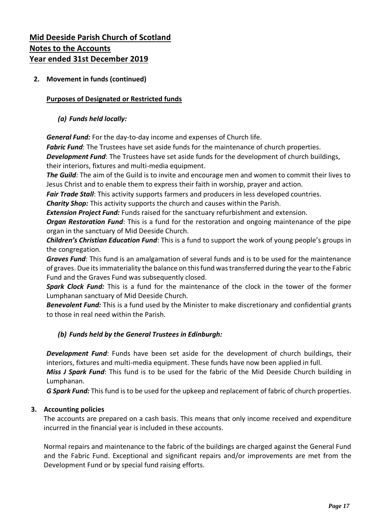#### **2. Movement in funds (continued)**

#### **Purposes of Designated or Restricted funds**

#### *(a) Funds held locally:*

*General Fund:* For the day-to-day income and expenses of Church life.

*Fabric Fund*: The Trustees have set aside funds for the maintenance of church properties.

*Development Fund*: The Trustees have set aside funds for the development of church buildings, their interiors, fixtures and multi-media equipment.

*The Guild:* The aim of the Guild is to invite and encourage men and women to commit their lives to Jesus Christ and to enable them to express their faith in worship, prayer and action.

*Fair Trade Stall*: This activity supports farmers and producers in less developed countries.

*Charity Shop:* This activity supports the church and causes within the Parish.

*Extension Project Fund:* Funds raised for the sanctuary refurbishment and extension.

*Organ Restoration Fund*: This is a fund for the restoration and ongoing maintenance of the pipe organ in the sanctuary of Mid Deeside Church.

*Children's Christian Education Fund*: This is a fund to support the work of young people's groups in the congregation.

*Graves Fund*: This fund is an amalgamation of several funds and is to be used for the maintenance of graves. Due its immateriality the balance on this fund was transferred during the year to the Fabric Fund and the Graves Fund was subsequently closed.

*Spark Clock Fund:* This is a fund for the maintenance of the clock in the tower of the former Lumphanan sanctuary of Mid Deeside Church.

*Benevolent Fund:* This is a fund used by the Minister to make discretionary and confidential grants to those in real need within the Parish.

#### *(b) Funds held by the General Trustees in Edinburgh:*

*Development Fund*: Funds have been set aside for the development of church buildings, their interiors, fixtures and multi-media equipment. These funds have now been applied in full.

*Miss J Spark Fund*: This fund is to be used for the fabric of the Mid Deeside Church building in Lumphanan.

*G Spark Fund:* This fund is to be used for the upkeep and replacement of fabric of church properties.

#### **3. Accounting policies**

The accounts are prepared on a cash basis. This means that only income received and expenditure incurred in the financial year is included in these accounts.

Normal repairs and maintenance to the fabric of the buildings are charged against the General Fund and the Fabric Fund. Exceptional and significant repairs and/or improvements are met from the Development Fund or by special fund raising efforts.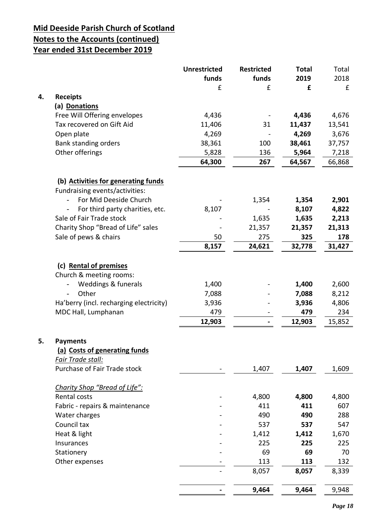# **Mid Deeside Parish Church of Scotland**

# **Notes to the Accounts (continued)**

**Year ended 31st December 2019**

|    |                                         | <b>Unrestricted</b> | <b>Restricted</b> | <b>Total</b> | Total  |
|----|-----------------------------------------|---------------------|-------------------|--------------|--------|
|    |                                         | funds               | funds             | 2019         | 2018   |
|    |                                         | £                   | £                 | £            | £      |
| 4. | <b>Receipts</b>                         |                     |                   |              |        |
|    | (a) Donations                           |                     |                   |              |        |
|    | Free Will Offering envelopes            | 4,436               |                   | 4,436        | 4,676  |
|    | Tax recovered on Gift Aid               | 11,406              | 31                | 11,437       | 13,541 |
|    | Open plate                              | 4,269               |                   | 4,269        | 3,676  |
|    | Bank standing orders                    | 38,361              | 100               | 38,461       | 37,757 |
|    | Other offerings                         | 5,828               | 136               | 5,964        | 7,218  |
|    |                                         | 64,300              | 267               | 64,567       | 66,868 |
|    |                                         |                     |                   |              |        |
|    | (b) Activities for generating funds     |                     |                   |              |        |
|    | Fundraising events/activities:          |                     |                   |              |        |
|    | For Mid Deeside Church                  |                     | 1,354             | 1,354        | 2,901  |
|    | For third party charities, etc.         | 8,107               |                   | 8,107        | 4,822  |
|    | Sale of Fair Trade stock                |                     | 1,635             | 1,635        | 2,213  |
|    | Charity Shop "Bread of Life" sales      |                     | 21,357            | 21,357       | 21,313 |
|    | Sale of pews & chairs                   | 50                  | 275               | 325          | 178    |
|    |                                         | 8,157               | 24,621            | 32,778       | 31,427 |
|    |                                         |                     |                   |              |        |
|    | (c) Rental of premises                  |                     |                   |              |        |
|    | Church & meeting rooms:                 |                     |                   |              |        |
|    | Weddings & funerals                     | 1,400               |                   | 1,400        | 2,600  |
|    | Other<br>$\overline{\phantom{a}}$       | 7,088               |                   | 7,088        | 8,212  |
|    | Ha'berry (incl. recharging electricity) | 3,936               |                   | 3,936        | 4,806  |
|    | MDC Hall, Lumphanan                     | 479                 |                   | 479          | 234    |
|    |                                         | 12,903              |                   | 12,903       | 15,852 |
|    |                                         |                     |                   |              |        |
| 5. | <b>Payments</b>                         |                     |                   |              |        |
|    | (a) Costs of generating funds           |                     |                   |              |        |
|    | Fair Trade stall:                       |                     |                   |              |        |
|    | Purchase of Fair Trade stock            |                     | 1,407             | 1,407        | 1,609  |
|    | Charity Shop "Bread of Life":           |                     |                   |              |        |
|    | Rental costs                            |                     | 4,800             | 4,800        | 4,800  |
|    | Fabric - repairs & maintenance          |                     | 411               | 411          | 607    |
|    | Water charges                           |                     | 490               | 490          | 288    |
|    | Council tax                             |                     | 537               | 537          | 547    |
|    | Heat & light                            |                     | 1,412             | 1,412        | 1,670  |
|    | Insurances                              |                     | 225               | 225          | 225    |
|    | Stationery                              |                     | 69                | 69           | 70     |
|    |                                         |                     |                   | 113          | 132    |
|    | Other expenses                          |                     | 113               |              |        |
|    |                                         |                     | 8,057             | 8,057        | 8,339  |
|    |                                         |                     | 9,464             | 9,464        | 9,948  |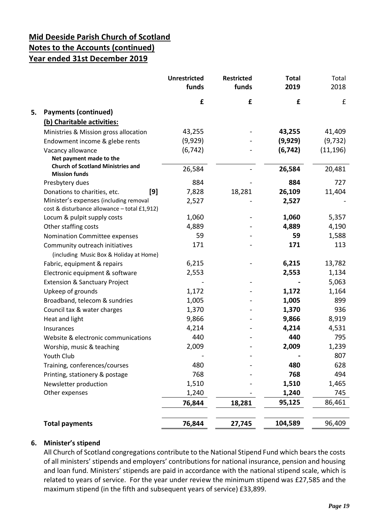|                                                                                        | <b>Unrestricted</b><br>funds | <b>Restricted</b><br>funds | <b>Total</b><br>2019 | Total<br>2018      |
|----------------------------------------------------------------------------------------|------------------------------|----------------------------|----------------------|--------------------|
|                                                                                        | £                            | £                          | £                    | $\pmb{\mathsf{f}}$ |
| <b>Payments (continued)</b><br>5.                                                      |                              |                            |                      |                    |
| (b) Charitable activities:                                                             |                              |                            |                      |                    |
| Ministries & Mission gross allocation                                                  | 43,255                       |                            | 43,255               | 41,409             |
| Endowment income & glebe rents                                                         | (9,929)                      |                            | (9,929)              | (9, 732)           |
| Vacancy allowance                                                                      | (6, 742)                     |                            | (6, 742)             | (11, 196)          |
| Net payment made to the                                                                |                              |                            |                      |                    |
| <b>Church of Scotland Ministries and</b><br><b>Mission funds</b>                       | 26,584                       |                            | 26,584               | 20,481             |
| Presbytery dues                                                                        | 884                          |                            | 884                  | 727                |
| [9]<br>Donations to charities, etc.                                                    | 7,828                        | 18,281                     | 26,109               | 11,404             |
| Minister's expenses (including removal<br>cost & disturbance allowance - total £1,912) | 2,527                        |                            | 2,527                |                    |
| Locum & pulpit supply costs                                                            | 1,060                        |                            | 1,060                | 5,357              |
| Other staffing costs                                                                   | 4,889                        |                            | 4,889                | 4,190              |
| Nomination Committee expenses                                                          | 59                           |                            | 59                   | 1,588              |
| Community outreach initiatives<br>(including Music Box & Holiday at Home)              | 171                          |                            | 171                  | 113                |
| Fabric, equipment & repairs                                                            | 6,215                        |                            | 6,215                | 13,782             |
| Electronic equipment & software                                                        | 2,553                        |                            | 2,553                | 1,134              |
| <b>Extension &amp; Sanctuary Project</b>                                               |                              |                            |                      | 5,063              |
| Upkeep of grounds                                                                      | 1,172                        |                            | 1,172                | 1,164              |
| Broadband, telecom & sundries                                                          | 1,005                        |                            | 1,005                | 899                |
| Council tax & water charges                                                            | 1,370                        |                            | 1,370                | 936                |
| Heat and light                                                                         | 9,866                        |                            | 9,866                | 8,919              |
| Insurances                                                                             | 4,214                        |                            | 4,214                | 4,531              |
| Website & electronic communications                                                    | 440                          |                            | 440                  | 795                |
| Worship, music & teaching                                                              | 2,009                        |                            | 2,009                | 1,239              |
| Youth Club                                                                             |                              |                            |                      | 807                |
| Training, conferences/courses                                                          | 480                          |                            | 480                  | 628                |
| Printing, stationery & postage                                                         | 768                          |                            | 768                  | 494                |
| Newsletter production                                                                  | 1,510                        |                            | 1,510                | 1,465              |
| Other expenses                                                                         | 1,240                        |                            | 1,240                | 745                |
|                                                                                        | 76,844                       | 18,281                     | 95,125               | 86,461             |
| <b>Total payments</b>                                                                  | 76,844                       | 27,745                     | 104,589              | 96,409             |

#### **6. Minister's stipend**

All Church of Scotland congregations contribute to the National Stipend Fund which bears the costs of all ministers' stipends and employers' contributions for national insurance, pension and housing and loan fund. Ministers' stipends are paid in accordance with the national stipend scale, which is related to years of service. For the year under review the minimum stipend was £27,585 and the maximum stipend (in the fifth and subsequent years of service) £33,899.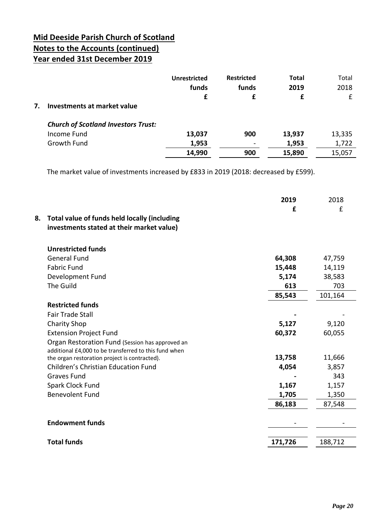|    |                                            | Unrestricted | <b>Restricted</b>        | <b>Total</b> | Total  |
|----|--------------------------------------------|--------------|--------------------------|--------------|--------|
|    |                                            | funds        | funds                    | 2019         | 2018   |
|    |                                            | £            |                          | £            | £      |
| 7. | Investments at market value                |              |                          |              |        |
|    | <b>Church of Scotland Investors Trust:</b> |              |                          |              |        |
|    | Income Fund                                | 13,037       | 900                      | 13,937       | 13,335 |
|    | Growth Fund                                | 1,953        | $\overline{\phantom{a}}$ | 1,953        | 1,722  |
|    |                                            | 14,990       | 900                      | 15,890       | 15,057 |

The market value of investments increased by £833 in 2019 (2018: decreased by £599).

|    |                                                                                           | 2019<br>£ | 2018<br>£ |
|----|-------------------------------------------------------------------------------------------|-----------|-----------|
| 8. | Total value of funds held locally (including<br>investments stated at their market value) |           |           |
|    | <b>Unrestricted funds</b>                                                                 |           |           |
|    | <b>General Fund</b>                                                                       | 64,308    | 47,759    |
|    | <b>Fabric Fund</b>                                                                        | 15,448    | 14,119    |
|    | Development Fund                                                                          | 5,174     | 38,583    |
|    | The Guild                                                                                 | 613       | 703       |
|    |                                                                                           | 85,543    | 101,164   |
|    | <b>Restricted funds</b>                                                                   |           |           |
|    | <b>Fair Trade Stall</b>                                                                   |           |           |
|    | <b>Charity Shop</b>                                                                       | 5,127     | 9,120     |
|    | <b>Extension Project Fund</b>                                                             | 60,372    | 60,055    |
|    | Organ Restoration Fund (Session has approved an                                           |           |           |
|    | additional £4,000 to be transferred to this fund when                                     |           |           |
|    | the organ restoration project is contracted).                                             | 13,758    | 11,666    |
|    | <b>Children's Christian Education Fund</b>                                                | 4,054     | 3,857     |
|    | <b>Graves Fund</b>                                                                        |           | 343       |
|    | Spark Clock Fund                                                                          | 1,167     | 1,157     |
|    | <b>Benevolent Fund</b>                                                                    | 1,705     | 1,350     |
|    |                                                                                           | 86,183    | 87,548    |
|    | <b>Endowment funds</b>                                                                    |           |           |
|    | <b>Total funds</b>                                                                        | 171,726   | 188,712   |
|    |                                                                                           |           |           |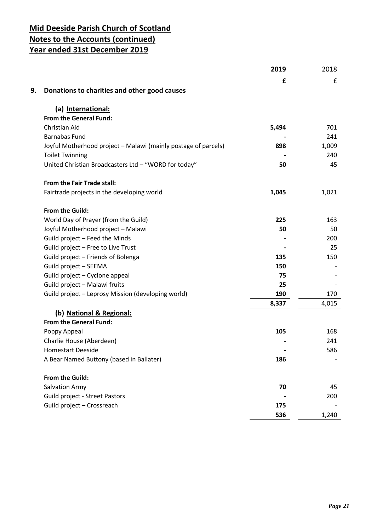|                                                                | 2019  | 2018  |
|----------------------------------------------------------------|-------|-------|
|                                                                | £     | £     |
| 9.<br>Donations to charities and other good causes             |       |       |
| (a) International:                                             |       |       |
| From the General Fund:                                         |       |       |
| Christian Aid                                                  | 5,494 | 701   |
| <b>Barnabas Fund</b>                                           |       | 241   |
| Joyful Motherhood project - Malawi (mainly postage of parcels) | 898   | 1,009 |
| <b>Toilet Twinning</b>                                         |       | 240   |
| United Christian Broadcasters Ltd - "WORD for today"           | 50    | 45    |
| From the Fair Trade stall:                                     |       |       |
| Fairtrade projects in the developing world                     | 1,045 | 1,021 |
| From the Guild:                                                |       |       |
| World Day of Prayer (from the Guild)                           | 225   | 163   |
| Joyful Motherhood project - Malawi                             | 50    | 50    |
| Guild project - Feed the Minds                                 |       | 200   |
| Guild project - Free to Live Trust                             |       | 25    |
| Guild project - Friends of Bolenga                             | 135   | 150   |
| Guild project - SEEMA                                          | 150   |       |
| Guild project - Cyclone appeal                                 | 75    |       |
| Guild project - Malawi fruits                                  | 25    |       |
| Guild project - Leprosy Mission (developing world)             | 190   | 170   |
|                                                                | 8,337 | 4,015 |
| (b) National & Regional:                                       |       |       |
| From the General Fund:                                         |       |       |
| Poppy Appeal                                                   | 105   | 168   |
| Charlie House (Aberdeen)                                       |       | 241   |
| <b>Homestart Deeside</b>                                       |       | 586   |
| A Bear Named Buttony (based in Ballater)                       | 186   |       |
| From the Guild:                                                |       |       |
| Salvation Army                                                 | 70    | 45    |
| <b>Guild project - Street Pastors</b>                          |       | 200   |
| Guild project - Crossreach                                     | 175   |       |
|                                                                | 536   | 1,240 |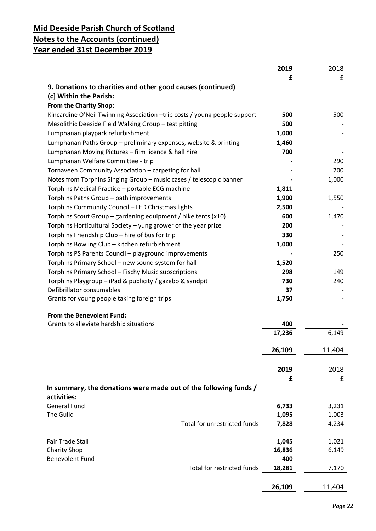|                                                                           | 2019   | 2018   |
|---------------------------------------------------------------------------|--------|--------|
|                                                                           | £      | £      |
| 9. Donations to charities and other good causes (continued)               |        |        |
| (c] Within the Parish:                                                    |        |        |
| From the Charity Shop:                                                    |        |        |
| Kincardine O'Neil Twinning Association -trip costs / young people support | 500    | 500    |
|                                                                           | 500    |        |
| Mesolithic Deeside Field Walking Group - test pitting                     |        |        |
| Lumphanan playpark refurbishment                                          | 1,000  |        |
| Lumphanan Paths Group - preliminary expenses, website & printing          | 1,460  |        |
| Lumphanan Moving Pictures - film licence & hall hire                      | 700    |        |
| Lumphanan Welfare Committee - trip                                        |        | 290    |
| Tornaveen Community Association - carpeting for hall                      |        | 700    |
| Notes from Torphins Singing Group - music cases / telescopic banner       |        | 1,000  |
| Torphins Medical Practice - portable ECG machine                          | 1,811  |        |
| Torphins Paths Group - path improvements                                  | 1,900  | 1,550  |
| Torphins Community Council - LED Christmas lights                         | 2,500  |        |
| Torphins Scout Group – gardening equipment / hike tents $(x10)$           | 600    | 1,470  |
| Torphins Horticultural Society - yung grower of the year prize            | 200    |        |
| Torphins Friendship Club - hire of bus for trip                           | 330    |        |
| Torphins Bowling Club - kitchen refurbishment                             | 1,000  |        |
|                                                                           |        | 250    |
| Torphins PS Parents Council - playground improvements                     |        |        |
| Torphins Primary School - new sound system for hall                       | 1,520  |        |
| Torphins Primary School - Fischy Music subscriptions                      | 298    | 149    |
| Torphins Playgroup - iPad & publicity / gazebo & sandpit                  | 730    | 240    |
| Defibrillator consumables                                                 | 37     |        |
| Grants for young people taking foreign trips                              | 1,750  |        |
|                                                                           |        |        |
| From the Benevolent Fund:                                                 |        |        |
| Grants to alleviate hardship situations                                   | 400    |        |
|                                                                           | 17,236 | 6,149  |
|                                                                           |        |        |
|                                                                           | 26,109 | 11,404 |
|                                                                           |        |        |
|                                                                           | 2019   | 2018   |
|                                                                           | £      | £      |
| In summary, the donations were made out of the following funds /          |        |        |
| activities:                                                               |        |        |
| <b>General Fund</b>                                                       | 6,733  | 3,231  |
| The Guild                                                                 | 1,095  | 1,003  |
| Total for unrestricted funds                                              | 7,828  | 4,234  |
|                                                                           |        |        |
| <b>Fair Trade Stall</b>                                                   | 1,045  | 1,021  |
| <b>Charity Shop</b>                                                       | 16,836 | 6,149  |
| <b>Benevolent Fund</b>                                                    | 400    |        |
| Total for restricted funds                                                | 18,281 | 7,170  |
|                                                                           |        |        |
|                                                                           |        |        |
|                                                                           | 26,109 | 11,404 |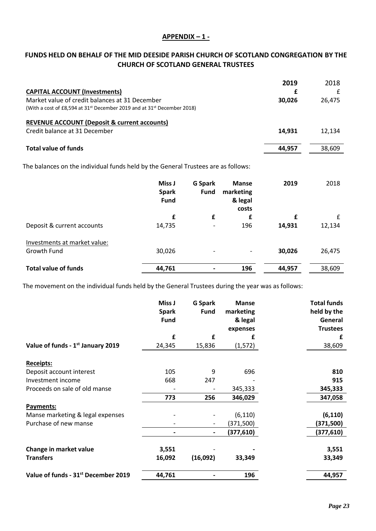#### **APPENDIX – 1 -**

#### **FUNDS HELD ON BEHALF OF THE MID DEESIDE PARISH CHURCH OF SCOTLAND CONGREGATION BY THE CHURCH OF SCOTLAND GENERAL TRUSTEES**

| <b>CAPITAL ACCOUNT (Investments)</b>                                                                                                              | 2019   | 2018   |
|---------------------------------------------------------------------------------------------------------------------------------------------------|--------|--------|
| Market value of credit balances at 31 December<br>(With a cost of £8,594 at 31 <sup>st</sup> December 2019 and at 31 <sup>st</sup> December 2018) | 30.026 | 26.475 |
| <b>REVENUE ACCOUNT (Deposit &amp; current accounts)</b><br>Credit balance at 31 December                                                          | 14.931 | 12.134 |
| <b>Total value of funds</b>                                                                                                                       | 44.957 | 38,609 |

The balances on the individual funds held by the General Trustees are as follows:

|                                             | Miss J<br><b>Spark</b><br><b>Fund</b> | <b>G</b> Spark<br>Fund   | <b>Manse</b><br>marketing<br>& legal<br>costs | 2019   | 2018   |
|---------------------------------------------|---------------------------------------|--------------------------|-----------------------------------------------|--------|--------|
|                                             | £                                     | £                        | £                                             | £      | £      |
| Deposit & current accounts                  | 14,735                                | $\overline{\phantom{a}}$ | 196                                           | 14,931 | 12,134 |
| Investments at market value:<br>Growth Fund | 30,026                                | $\overline{\phantom{a}}$ | $\overline{\phantom{0}}$                      | 30,026 | 26,475 |
| <b>Total value of funds</b>                 | 44,761                                | $\overline{\phantom{a}}$ | 196                                           | 44,957 | 38,609 |

The movement on the individual funds held by the General Trustees during the year was as follows:

|                                                 | Miss J<br><b>Spark</b><br><b>Fund</b> | <b>G</b> Spark<br><b>Fund</b> | <b>Manse</b><br>marketing<br>& legal<br>expenses | <b>Total funds</b><br>held by the<br>General<br><b>Trustees</b> |
|-------------------------------------------------|---------------------------------------|-------------------------------|--------------------------------------------------|-----------------------------------------------------------------|
|                                                 | £                                     | £                             | £                                                | £                                                               |
| Value of funds - 1 <sup>st</sup> January 2019   | 24,345                                | 15,836                        | (1, 572)                                         | 38,609                                                          |
| <b>Receipts:</b>                                |                                       |                               |                                                  |                                                                 |
| Deposit account interest                        | 105                                   | 9                             | 696                                              | 810                                                             |
| Investment income                               | 668                                   | 247                           |                                                  | 915                                                             |
| Proceeds on sale of old manse                   |                                       |                               | 345,333                                          | 345,333                                                         |
|                                                 | 773                                   | 256                           | 346,029                                          | 347,058                                                         |
| Payments:                                       |                                       |                               |                                                  |                                                                 |
| Manse marketing & legal expenses                |                                       |                               | (6, 110)                                         | (6, 110)                                                        |
| Purchase of new manse                           |                                       |                               | (371,500)                                        | (371,500)                                                       |
|                                                 |                                       |                               | (377,610)                                        | (377,610)                                                       |
| Change in market value<br><b>Transfers</b>      | 3,551<br>16,092                       | (16,092)                      | 33,349                                           | 3,551<br>33,349                                                 |
| Value of funds - 31 <sup>st</sup> December 2019 | 44,761                                |                               | 196                                              | 44,957                                                          |